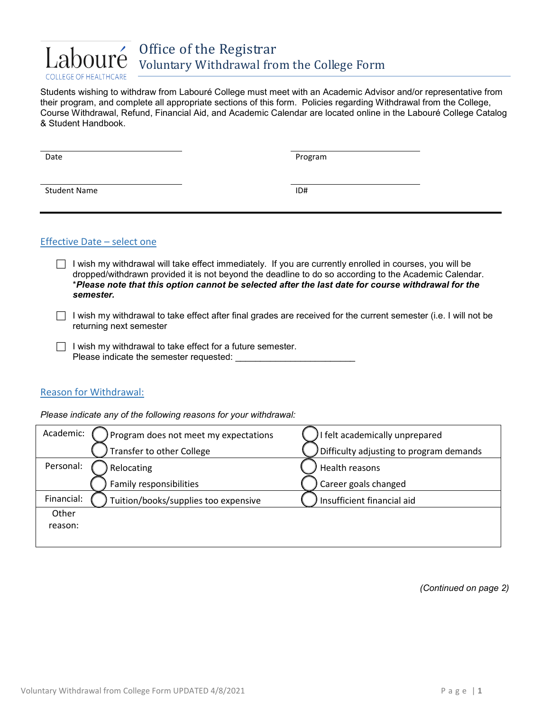

Students wishing to withdraw from Labouré College must meet with an Academic Advisor and/or representative from their program, and complete all appropriate sections of this form. Policies regarding Withdrawal from the College, Course Withdrawal, Refund, Financial Aid, and Academic Calendar are located online in the Labouré College Catalog & Student Handbook.

| Date                | Program |
|---------------------|---------|
|                     |         |
|                     |         |
| <b>Student Name</b> | ID#     |

## Effective Date – select one

- $\Box$  I wish my withdrawal will take effect immediately. If you are currently enrolled in courses, you will be dropped/withdrawn provided it is not beyond the deadline to do so according to the Academic Calendar. \**Please note that this option cannot be selected after the last date for course withdrawal for the semester.*
- $\Box$  I wish my withdrawal to take effect after final grades are received for the current semester (i.e. I will not be returning next semester
- $\Box$  I wish my withdrawal to take effect for a future semester. Please indicate the semester requested: \_\_\_\_\_\_\_\_\_\_\_\_\_\_\_\_\_\_\_\_\_\_\_\_

## Reason for Withdrawal:

*Please indicate any of the following reasons for your withdrawal:*

| Academic:  | Program does not meet my expectations | I felt academically unprepared          |
|------------|---------------------------------------|-----------------------------------------|
|            | Transfer to other College             | Difficulty adjusting to program demands |
| Personal:  | Relocating                            | Health reasons                          |
|            | Family responsibilities               | Career goals changed                    |
| Financial: | Tuition/books/supplies too expensive  | Insufficient financial aid              |
| Other      |                                       |                                         |
| reason:    |                                       |                                         |
|            |                                       |                                         |

*(Continued on page 2)*